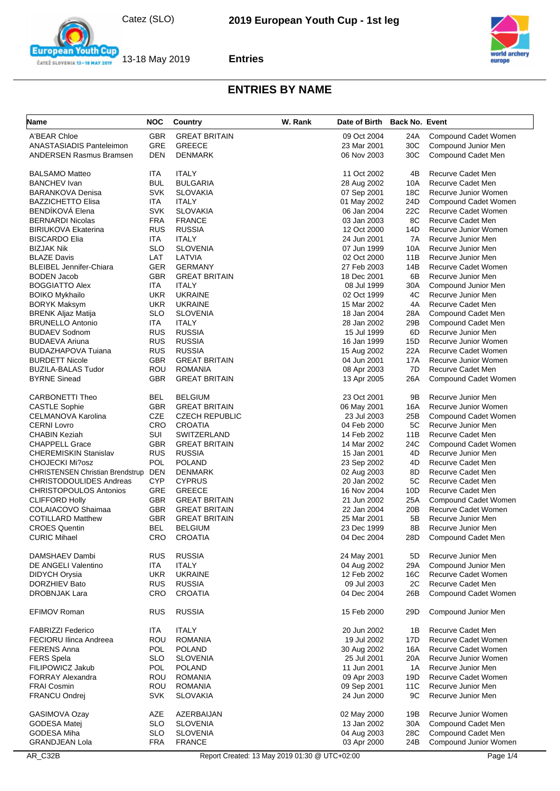



| Name                                         | <b>NOC</b>        | Country                         | W. Rank                                       | Date of Birth Back No. Event |                 |                                               |
|----------------------------------------------|-------------------|---------------------------------|-----------------------------------------------|------------------------------|-----------------|-----------------------------------------------|
| A'BEAR Chloe                                 | <b>GBR</b>        | <b>GREAT BRITAIN</b>            |                                               | 09 Oct 2004                  | 24A             | Compound Cadet Women                          |
| ANASTASIADIS Panteleimon                     | <b>GRE</b>        | <b>GREECE</b>                   |                                               | 23 Mar 2001                  | 30C             | Compound Junior Men                           |
| <b>ANDERSEN Rasmus Bramsen</b>               | DEN               | <b>DENMARK</b>                  |                                               | 06 Nov 2003                  | 30C             | Compound Cadet Men                            |
|                                              |                   |                                 |                                               |                              |                 |                                               |
| <b>BALSAMO Matteo</b><br><b>BANCHEV</b> Ivan | ITA<br><b>BUL</b> | <b>ITALY</b><br><b>BULGARIA</b> |                                               | 11 Oct 2002<br>28 Aug 2002   | 4B              | Recurve Cadet Men<br><b>Recurve Cadet Men</b> |
| <b>BARANKOVA Denisa</b>                      | <b>SVK</b>        | <b>SLOVAKIA</b>                 |                                               | 07 Sep 2001                  | 10A<br>18C      | Recurve Junior Women                          |
| <b>BAZZICHETTO Elisa</b>                     | ITA               | <b>ITALY</b>                    |                                               | 01 May 2002                  | 24D             | Compound Cadet Women                          |
| BENDÍKOVÁ Elena                              | <b>SVK</b>        | <b>SLOVAKIA</b>                 |                                               | 06 Jan 2004                  | 22C             | Recurve Cadet Women                           |
| <b>BERNARDI Nicolas</b>                      | <b>FRA</b>        | <b>FRANCE</b>                   |                                               | 03 Jan 2003                  | 8C              | Recurve Cadet Men                             |
| <b>BIRIUKOVA Ekaterina</b>                   | <b>RUS</b>        | <b>RUSSIA</b>                   |                                               | 12 Oct 2000                  | 14D             | Recurve Junior Women                          |
| <b>BISCARDO Elia</b>                         | ITA               | <b>ITALY</b>                    |                                               | 24 Jun 2001                  | 7A              | Recurve Junior Men                            |
| <b>BIZJAK Nik</b>                            | <b>SLO</b>        | <b>SLOVENIA</b>                 |                                               | 07 Jun 1999                  | 10A             | Recurve Junior Men                            |
| <b>BLAZE Davis</b>                           | LAT               | LATVIA                          |                                               | 02 Oct 2000                  | 11B             | Recurve Junior Men                            |
| <b>BLEIBEL Jennifer-Chiara</b>               | <b>GER</b>        | <b>GERMANY</b>                  |                                               | 27 Feb 2003                  | 14B             | Recurve Cadet Women                           |
| <b>BODEN Jacob</b>                           | <b>GBR</b>        | <b>GREAT BRITAIN</b>            |                                               | 18 Dec 2001                  | 6B              | Recurve Junior Men                            |
| <b>BOGGIATTO Alex</b>                        | ITA               | <b>ITALY</b>                    |                                               | 08 Jul 1999                  | 30A             | Compound Junior Men                           |
| <b>BOIKO Mykhailo</b>                        | <b>UKR</b>        | <b>UKRAINE</b>                  |                                               | 02 Oct 1999                  | 4C              | Recurve Junior Men                            |
| <b>BORYK Maksym</b>                          | <b>UKR</b>        | <b>UKRAINE</b>                  |                                               | 15 Mar 2002                  | 4A              | Recurve Cadet Men                             |
| <b>BRENK Aljaz Matija</b>                    | <b>SLO</b>        | <b>SLOVENIA</b>                 |                                               | 18 Jan 2004                  | 28A             | Compound Cadet Men                            |
| <b>BRUNELLO Antonio</b>                      | ITA               | <b>ITALY</b>                    |                                               | 28 Jan 2002                  | 29B             | Compound Cadet Men                            |
| <b>BUDAEV Sodnom</b>                         | <b>RUS</b>        | <b>RUSSIA</b>                   |                                               | 15 Jul 1999                  | 6D              | Recurve Junior Men                            |
| <b>BUDAEVA Ariuna</b>                        | <b>RUS</b>        | <b>RUSSIA</b>                   |                                               | 16 Jan 1999                  | 15D             | Recurve Junior Women                          |
| BUDAZHAPOVA Tuiana                           | <b>RUS</b>        | <b>RUSSIA</b>                   |                                               | 15 Aug 2002                  | 22A             | Recurve Cadet Women                           |
| <b>BURDETT Nicole</b>                        | <b>GBR</b>        | <b>GREAT BRITAIN</b>            |                                               | 04 Jun 2001                  | 17A             | Recurve Junior Women                          |
| <b>BUZILA-BALAS Tudor</b>                    | <b>ROU</b>        | <b>ROMANIA</b>                  |                                               | 08 Apr 2003                  | 7D              | Recurve Cadet Men                             |
| <b>BYRNE Sinead</b>                          | <b>GBR</b>        | <b>GREAT BRITAIN</b>            |                                               |                              | 26A             |                                               |
|                                              |                   |                                 |                                               | 13 Apr 2005                  |                 | Compound Cadet Women                          |
| CARBONETTI Theo                              | <b>BEL</b>        | <b>BELGIUM</b>                  |                                               | 23 Oct 2001                  | 9Β              | Recurve Junior Men                            |
| <b>CASTLE Sophie</b>                         | <b>GBR</b>        | <b>GREAT BRITAIN</b>            |                                               | 06 May 2001                  | 16A             | Recurve Junior Women                          |
| CELMANOVA Karolina                           | CZE               | <b>CZECH REPUBLIC</b>           |                                               | 23 Jul 2003                  | 25B             | Compound Cadet Women                          |
| <b>CERNI Lovro</b>                           | CRO               | <b>CROATIA</b>                  |                                               | 04 Feb 2000                  | 5C              | Recurve Junior Men                            |
| <b>CHABIN Keziah</b>                         | SUI               | SWITZERLAND                     |                                               | 14 Feb 2002                  | 11B             | Recurve Cadet Men                             |
| <b>CHAPPELL Grace</b>                        | <b>GBR</b>        | <b>GREAT BRITAIN</b>            |                                               | 14 Mar 2002                  | 24C             | Compound Cadet Women                          |
| <b>CHEREMISKIN Stanislav</b>                 | <b>RUS</b>        | <b>RUSSIA</b>                   |                                               | 15 Jan 2001                  | 4D              | Recurve Junior Men                            |
| CHOJECKI Mi?osz                              | POL               | <b>POLAND</b>                   |                                               | 23 Sep 2002                  | 4D              | Recurve Cadet Men                             |
| <b>CHRISTENSEN Christian Brendstrup</b>      | DEN               | DENMARK                         |                                               | 02 Aug 2003                  | 8D              | Recurve Cadet Men                             |
| <b>CHRISTODOULIDES Andreas</b>               | <b>CYP</b>        | <b>CYPRUS</b>                   |                                               | 20 Jan 2002                  | 5C              | Recurve Cadet Men                             |
| <b>CHRISTOPOULOS Antonios</b>                | GRE               | <b>GREECE</b>                   |                                               | 16 Nov 2004                  | 10D             | Recurve Cadet Men                             |
| <b>CLIFFORD Holly</b>                        | <b>GBR</b>        | <b>GREAT BRITAIN</b>            |                                               | 21 Jun 2002                  | 25A             | Compound Cadet Women                          |
| COLAIACOVO Shaimaa                           | <b>GBR</b>        | <b>GREAT BRITAIN</b>            |                                               | 22 Jan 2004                  | 20B             | Recurve Cadet Women                           |
| <b>COTILLARD Matthew</b>                     | <b>GBR</b>        | <b>GREAT BRITAIN</b>            |                                               | 25 Mar 2001                  | 5B              | Recurve Junior Men                            |
| <b>CROES Quentin</b>                         | <b>BEL</b>        | <b>BELGIUM</b>                  |                                               | 23 Dec 1999                  | 8B              | Recurve Junior Men                            |
| <b>CURIC Mihael</b>                          | CRO               | <b>CROATIA</b>                  |                                               | 04 Dec 2004                  | 28D             | Compound Cadet Men                            |
| DAMSHAEV Dambi                               | <b>RUS</b>        | <b>RUSSIA</b>                   |                                               | 24 May 2001                  | 5D              | Recurve Junior Men                            |
| DE ANGELI Valentino                          | ITA               | <b>ITALY</b>                    |                                               | 04 Aug 2002                  | 29A             | Compound Junior Men                           |
| DIDYCH Orysia                                | <b>UKR</b>        | <b>UKRAINE</b>                  |                                               | 12 Feb 2002                  | 16C             | Recurve Cadet Women                           |
| DORZHIEV Bato                                | <b>RUS</b>        | <b>RUSSIA</b>                   |                                               | 09 Jul 2003                  | 2C              | Recurve Cadet Men                             |
| <b>DROBNJAK Lara</b>                         | <b>CRO</b>        | <b>CROATIA</b>                  |                                               | 04 Dec 2004                  | 26B             | Compound Cadet Women                          |
| EFIMOV Roman                                 | <b>RUS</b>        | <b>RUSSIA</b>                   |                                               | 15 Feb 2000                  | 29 <sub>D</sub> | Compound Junior Men                           |
|                                              |                   |                                 |                                               |                              |                 |                                               |
| <b>FABRIZZI Federico</b>                     | <b>ITA</b>        | <b>ITALY</b>                    |                                               | 20 Jun 2002                  | 1B              | Recurve Cadet Men                             |
| <b>FECIORU Ilinca Andreea</b>                | ROU               | <b>ROMANIA</b>                  |                                               | 19 Jul 2002                  | 17D             | Recurve Cadet Women                           |
| <b>FERENS Anna</b>                           | <b>POL</b>        | <b>POLAND</b>                   |                                               | 30 Aug 2002                  | 16A             | Recurve Cadet Women                           |
| <b>FERS</b> Spela                            | <b>SLO</b>        | <b>SLOVENIA</b>                 |                                               | 25 Jul 2001                  | 20A             | Recurve Junior Women                          |
| FILIPOWICZ Jakub                             | <b>POL</b>        | <b>POLAND</b>                   |                                               | 11 Jun 2001                  | 1A              | Recurve Junior Men                            |
| <b>FORRAY Alexandra</b>                      | ROU               | <b>ROMANIA</b>                  |                                               | 09 Apr 2003                  | 19D             | Recurve Cadet Women                           |
| <b>FRAI Cosmin</b>                           | ROU               | <b>ROMANIA</b>                  |                                               | 09 Sep 2001                  | 11C             | Recurve Junior Men                            |
| FRANCU Ondrej                                | <b>SVK</b>        | <b>SLOVAKIA</b>                 |                                               | 24 Jun 2000                  | 9C              | Recurve Junior Men                            |
| GASIMOVA Ozay                                | AZE               | AZERBAIJAN                      |                                               | 02 May 2000                  | 19B             | Recurve Junior Women                          |
| <b>GODESA Matei</b>                          | <b>SLO</b>        | <b>SLOVENIA</b>                 |                                               | 13 Jan 2002                  | 30A             | Compound Cadet Men                            |
| GODESA Miha                                  | <b>SLO</b>        | <b>SLOVENIA</b>                 |                                               | 04 Aug 2003                  | 28C             | Compound Cadet Men                            |
| <b>GRANDJEAN Lola</b>                        | <b>FRA</b>        | <b>FRANCE</b>                   |                                               | 03 Apr 2000                  | 24B             | Compound Junior Women                         |
|                                              |                   |                                 |                                               |                              |                 |                                               |
| AR_C32B                                      |                   |                                 | Report Created: 13 May 2019 01:30 @ UTC+02:00 |                              |                 | Page 1/4                                      |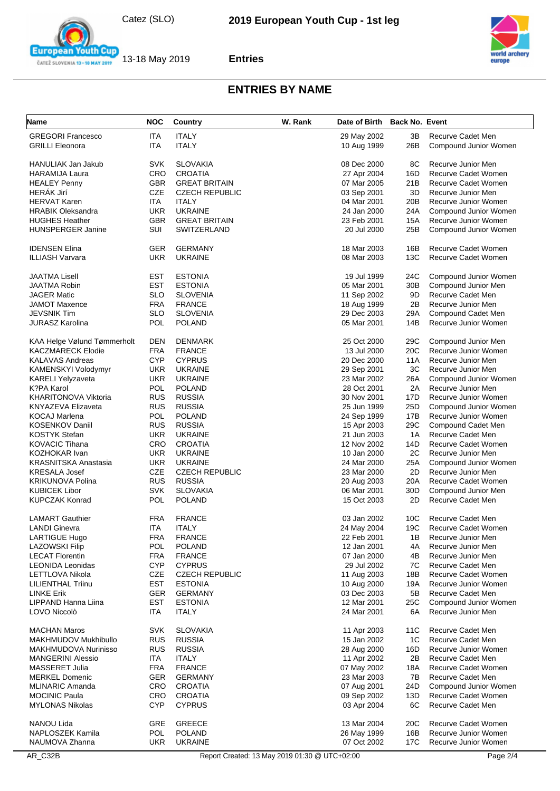



| Name                                     | <b>NOC</b>               | Country                               | W. Rank | Date of Birth Back No. Event |                       |                                             |
|------------------------------------------|--------------------------|---------------------------------------|---------|------------------------------|-----------------------|---------------------------------------------|
| <b>GREGORI Francesco</b>                 | ITA                      | <b>ITALY</b>                          |         | 29 May 2002                  | 3В                    | Recurve Cadet Men                           |
| <b>GRILLI Eleonora</b>                   | ITA                      | <b>ITALY</b>                          |         | 10 Aug 1999                  | 26B                   | Compound Junior Women                       |
|                                          |                          |                                       |         |                              |                       |                                             |
| HANULIAK Jan Jakub                       | <b>SVK</b>               | <b>SLOVAKIA</b>                       |         | 08 Dec 2000                  | 8С                    | Recurve Junior Men                          |
| <b>HARAMIJA Laura</b>                    | CRO                      | <b>CROATIA</b>                        |         | 27 Apr 2004                  | 16D                   | Recurve Cadet Women                         |
| <b>HEALEY Penny</b><br><b>HERÁK Jirí</b> | <b>GBR</b>               | <b>GREAT BRITAIN</b>                  |         | 07 Mar 2005                  | 21B                   | Recurve Cadet Women                         |
| <b>HERVAT Karen</b>                      | CZE<br><b>ITA</b>        | <b>CZECH REPUBLIC</b><br><b>ITALY</b> |         | 03 Sep 2001<br>04 Mar 2001   | 3D<br>20 <sub>B</sub> | Recurve Junior Men<br>Recurve Junior Women  |
| <b>HRABIK Oleksandra</b>                 | <b>UKR</b>               | <b>UKRAINE</b>                        |         | 24 Jan 2000                  | 24A                   | Compound Junior Women                       |
| <b>HUGHES Heather</b>                    | <b>GBR</b>               | <b>GREAT BRITAIN</b>                  |         | 23 Feb 2001                  | 15A                   | Recurve Junior Women                        |
| HUNSPERGER Janine                        | SUI                      | SWITZERLAND                           |         | 20 Jul 2000                  | 25B                   | Compound Junior Women                       |
|                                          |                          |                                       |         |                              |                       |                                             |
| <b>IDENSEN Elina</b>                     | <b>GER</b>               | <b>GERMANY</b>                        |         | 18 Mar 2003                  | 16B                   | Recurve Cadet Women                         |
| ILLIASH Varvara                          | <b>UKR</b>               | <b>UKRAINE</b>                        |         | 08 Mar 2003                  | 13C                   | Recurve Cadet Women                         |
|                                          |                          |                                       |         |                              |                       |                                             |
| JAATMA Lisell                            | EST                      | <b>ESTONIA</b>                        |         | 19 Jul 1999                  | 24C                   | Compound Junior Women                       |
| JAATMA Robin                             | <b>EST</b>               | <b>ESTONIA</b>                        |         | 05 Mar 2001                  | 30 <sub>B</sub>       | Compound Junior Men                         |
| JAGER Matic                              | <b>SLO</b>               | <b>SLOVENIA</b>                       |         | 11 Sep 2002                  | 9D                    | Recurve Cadet Men                           |
| <b>JAMOT Maxence</b>                     | <b>FRA</b>               | <b>FRANCE</b>                         |         | 18 Aug 1999                  | 2B                    | Recurve Junior Men                          |
| JEVSNIK Tim                              | SLO                      | <b>SLOVENIA</b>                       |         | 29 Dec 2003                  | 29A                   | Compound Cadet Men                          |
| JURASZ Karolina                          | POL                      | <b>POLAND</b>                         |         | 05 Mar 2001                  | 14B                   | Recurve Junior Women                        |
|                                          |                          |                                       |         |                              |                       |                                             |
| KAA Helge Vølund Tømmerholt              | <b>DEN</b>               | <b>DENMARK</b>                        |         | 25 Oct 2000                  | 29C                   | Compound Junior Men                         |
| <b>KACZMARECK Elodie</b>                 | <b>FRA</b><br><b>CYP</b> | <b>FRANCE</b>                         |         | 13 Jul 2000                  | 20C                   | Recurve Junior Women                        |
| <b>KALAVAS Andreas</b>                   |                          | <b>CYPRUS</b>                         |         | 20 Dec 2000                  | 11A<br>3C             | Recurve Junior Men                          |
| KAMENSKYI Volodymyr<br>KARELI Yelyzaveta | <b>UKR</b><br><b>UKR</b> | <b>UKRAINE</b><br><b>UKRAINE</b>      |         | 29 Sep 2001<br>23 Mar 2002   | 26A                   | Recurve Junior Men<br>Compound Junior Women |
| K?PA Karol                               | <b>POL</b>               | <b>POLAND</b>                         |         | 28 Oct 2001                  | 2A                    | Recurve Junior Men                          |
| KHARITONOVA Viktoria                     | <b>RUS</b>               | <b>RUSSIA</b>                         |         | 30 Nov 2001                  | 17D                   | Recurve Junior Women                        |
| KNYAZEVA Elizaveta                       | <b>RUS</b>               | <b>RUSSIA</b>                         |         | 25 Jun 1999                  | 25D                   | Compound Junior Women                       |
| KOCAJ Marlena                            | <b>POL</b>               | <b>POLAND</b>                         |         | 24 Sep 1999                  | 17B                   | Recurve Junior Women                        |
| KOSENKOV Daniil                          | <b>RUS</b>               | <b>RUSSIA</b>                         |         | 15 Apr 2003                  | 29C                   | Compound Cadet Men                          |
| KOSTYK Stefan                            | <b>UKR</b>               | <b>UKRAINE</b>                        |         | 21 Jun 2003                  | 1A                    | Recurve Cadet Men                           |
| KOVACIC Tihana                           | <b>CRO</b>               | <b>CROATIA</b>                        |         | 12 Nov 2002                  | 14D                   | Recurve Cadet Women                         |
| KOZHOKAR Ivan                            | <b>UKR</b>               | <b>UKRAINE</b>                        |         | 10 Jan 2000                  | 2C                    | Recurve Junior Men                          |
| KRASNITSKA Anastasia                     | <b>UKR</b>               | <b>UKRAINE</b>                        |         | 24 Mar 2000                  | 25A                   | Compound Junior Women                       |
| KRESALA Josef                            | <b>CZE</b>               | <b>CZECH REPUBLIC</b>                 |         | 23 Mar 2000                  | 2D                    | Recurve Junior Men                          |
| KRIKUNOVA Polina                         | <b>RUS</b>               | <b>RUSSIA</b>                         |         | 20 Aug 2003                  | 20A                   | Recurve Cadet Women                         |
| KUBICEK Libor                            | <b>SVK</b>               | <b>SLOVAKIA</b>                       |         | 06 Mar 2001                  | 30D                   | Compound Junior Men                         |
| KUPCZAK Konrad                           | <b>POL</b>               | <b>POLAND</b>                         |         | 15 Oct 2003                  | 2D                    | Recurve Cadet Men                           |
| <b>LAMART Gauthier</b>                   | <b>FRA</b>               | <b>FRANCE</b>                         |         | 03 Jan 2002                  | 10 <sub>C</sub>       | Recurve Cadet Men                           |
| <b>LANDI Ginevra</b>                     | ITA                      | <b>ITALY</b>                          |         | 24 May 2004                  | 19C                   | Recurve Cadet Women                         |
| LARTIGUE Hugo                            | <b>FRA</b>               | <b>FRANCE</b>                         |         | 22 Feb 2001                  | 1B                    | Recurve Junior Men                          |
| <b>LAZOWSKI Filip</b>                    | <b>POL</b>               | POLAND                                |         | 12 Jan 2001                  | 4A                    | Recurve Junior Men                          |
| <b>LECAT Florentin</b>                   | <b>FRA</b>               | <b>FRANCE</b>                         |         | 07 Jan 2000                  | 4B                    | Recurve Junior Men                          |
| <b>LEONIDA Leonidas</b>                  | <b>CYP</b>               | <b>CYPRUS</b>                         |         | 29 Jul 2002                  | 7C                    | Recurve Cadet Men                           |
| LETTLOVA Nikola                          | <b>CZE</b>               | <b>CZECH REPUBLIC</b>                 |         | 11 Aug 2003                  | 18B                   | Recurve Cadet Women                         |
| LILIENTHAL Triinu                        | <b>EST</b>               | <b>ESTONIA</b>                        |         | 10 Aug 2000                  | 19A                   | Recurve Junior Women                        |
| <b>LINKE Erik</b>                        | <b>GER</b>               | <b>GERMANY</b>                        |         | 03 Dec 2003                  | 5B                    | Recurve Cadet Men                           |
| LIPPAND Hanna Liina                      | <b>EST</b>               | <b>ESTONIA</b>                        |         | 12 Mar 2001                  | 25C                   | Compound Junior Women                       |
| LOVO Niccolò                             | ITA                      | <b>ITALY</b>                          |         | 24 Mar 2001                  | 6A                    | Recurve Junior Men                          |
| <b>MACHAN Maros</b>                      | <b>SVK</b>               | <b>SLOVAKIA</b>                       |         | 11 Apr 2003                  | 11C                   | Recurve Cadet Men                           |
| MAKHMUDOV Mukhibullo                     | <b>RUS</b>               | <b>RUSSIA</b>                         |         | 15 Jan 2002                  | 1C                    | Recurve Cadet Men                           |
| MAKHMUDOVA Nurinisso                     | <b>RUS</b>               | <b>RUSSIA</b>                         |         | 28 Aug 2000                  | 16D                   | Recurve Junior Women                        |
| MANGERINI Alessio                        | ITA                      | <b>ITALY</b>                          |         | 11 Apr 2002                  | 2Β                    | Recurve Cadet Men                           |
| MASSERET Julia                           | <b>FRA</b>               | <b>FRANCE</b>                         |         | 07 May 2002                  | 18A                   | Recurve Cadet Women                         |
| <b>MERKEL Domenic</b>                    | <b>GER</b>               | <b>GERMANY</b>                        |         | 23 Mar 2003                  | 7В                    | Recurve Cadet Men                           |
| <b>MLINARIC Amanda</b>                   | CRO                      | <b>CROATIA</b>                        |         | 07 Aug 2001                  | 24D                   | Compound Junior Women                       |
| <b>MOCINIC Paula</b>                     | <b>CRO</b>               | <b>CROATIA</b>                        |         | 09 Sep 2002                  | 13D                   | Recurve Cadet Women                         |
| <b>MYLONAS Nikolas</b>                   | <b>CYP</b>               | <b>CYPRUS</b>                         |         | 03 Apr 2004                  | 6C                    | Recurve Cadet Men                           |
| NANOU Lida                               | GRE                      | <b>GREECE</b>                         |         | 13 Mar 2004                  | 20C                   | Recurve Cadet Women                         |
| NAPLOSZEK Kamila                         | <b>POL</b>               | <b>POLAND</b>                         |         | 26 May 1999                  | 16B                   | Recurve Junior Women                        |
| NAUMOVA Zhanna                           | UKR                      | <b>UKRAINE</b>                        |         | 07 Oct 2002                  | 17C                   | Recurve Junior Women                        |
|                                          |                          |                                       |         |                              |                       |                                             |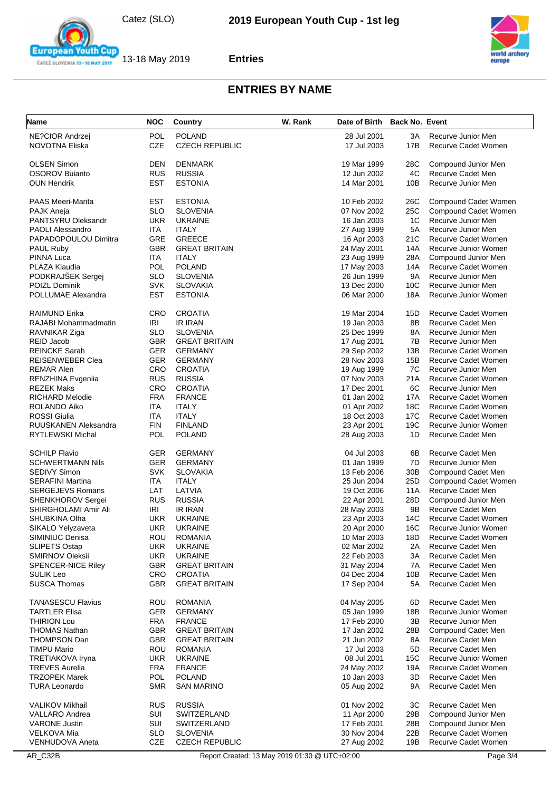



| Name                      | <b>NOC</b> | Country               | W. Rank | Date of Birth Back No. Event |                 |                            |
|---------------------------|------------|-----------------------|---------|------------------------------|-----------------|----------------------------|
| NE?CIOR Andrzej           | <b>POL</b> | <b>POLAND</b>         |         | 28 Jul 2001                  | ЗΑ              | Recurve Junior Men         |
| <b>NOVOTNA Eliska</b>     | <b>CZE</b> | <b>CZECH REPUBLIC</b> |         | 17 Jul 2003                  | 17B             | Recurve Cadet Women        |
| <b>OLSEN Simon</b>        | DEN        | <b>DENMARK</b>        |         | 19 Mar 1999                  | 28C             | Compound Junior Men        |
| <b>OSOROV Buianto</b>     | <b>RUS</b> | <b>RUSSIA</b>         |         | 12 Jun 2002                  | 4C              | Recurve Cadet Men          |
| <b>OUN Hendrik</b>        | EST        | <b>ESTONIA</b>        |         | 14 Mar 2001                  | 10B             | Recurve Junior Men         |
| <b>PAAS Meeri-Marita</b>  | EST        | <b>ESTONIA</b>        |         | 10 Feb 2002                  | 26C             | Compound Cadet Women       |
| PAJK Aneja                | <b>SLO</b> | <b>SLOVENIA</b>       |         | 07 Nov 2002                  | 25C             | Compound Cadet Women       |
| PANTSYRU Oleksandr        | <b>UKR</b> | <b>UKRAINE</b>        |         | 16 Jan 2003                  | 1C              | Recurve Junior Men         |
| PAOLI Alessandro          | <b>ITA</b> | <b>ITALY</b>          |         | 27 Aug 1999                  | 5A              | Recurve Junior Men         |
| PAPADOPOULOU Dimitra      | GRE        | <b>GREECE</b>         |         | 16 Apr 2003                  | 21C             | Recurve Cadet Women        |
| <b>PAUL Ruby</b>          | <b>GBR</b> | <b>GREAT BRITAIN</b>  |         | 24 May 2001                  | 14A             | Recurve Junior Women       |
| PINNA Luca                | <b>ITA</b> | <b>ITALY</b>          |         | 23 Aug 1999                  | 28A             | Compound Junior Men        |
| PLAZA Klaudia             | POL        | <b>POLAND</b>         |         | 17 May 2003                  | 14A             | Recurve Cadet Women        |
| PODKRAJŠEK Sergej         | SLO        | <b>SLOVENIA</b>       |         | 26 Jun 1999                  | 9Α              | Recurve Junior Men         |
| POIZL Dominik             | <b>SVK</b> | <b>SLOVAKIA</b>       |         | 13 Dec 2000                  | 10C             | Recurve Junior Men         |
| POLLUMAE Alexandra        | <b>EST</b> | <b>ESTONIA</b>        |         | 06 Mar 2000                  | 18A             | Recurve Junior Women       |
| RAIMUND Erika             | <b>CRO</b> | <b>CROATIA</b>        |         | 19 Mar 2004                  | 15D             | Recurve Cadet Women        |
| RAJABI Mohammadmatin      | IRI        | <b>IR IRAN</b>        |         | 19 Jan 2003                  | 8B              | Recurve Cadet Men          |
| RAVNIKAR Ziga             | <b>SLO</b> | <b>SLOVENIA</b>       |         | 25 Dec 1999                  | 8A              | Recurve Junior Men         |
| <b>REID Jacob</b>         | <b>GBR</b> | <b>GREAT BRITAIN</b>  |         | 17 Aug 2001                  | 7B              | Recurve Junior Men         |
| <b>REINCKE Sarah</b>      | <b>GER</b> | <b>GERMANY</b>        |         | 29 Sep 2002                  | 13B             | Recurve Cadet Women        |
| <b>REISENWEBER Clea</b>   | GER        | <b>GERMANY</b>        |         | 28 Nov 2003                  | 15B             | Recurve Cadet Women        |
| <b>REMAR Alen</b>         | <b>CRO</b> | <b>CROATIA</b>        |         | 19 Aug 1999                  | 7C              | Recurve Junior Men         |
| RENZHINA Evgeniia         | <b>RUS</b> | <b>RUSSIA</b>         |         | 07 Nov 2003                  | 21A             | <b>Recurve Cadet Women</b> |
| <b>REZEK Maks</b>         | CRO        | <b>CROATIA</b>        |         | 17 Dec 2001                  | 6C              | Recurve Junior Men         |
| <b>RICHARD Melodie</b>    | <b>FRA</b> | <b>FRANCE</b>         |         | 01 Jan 2002                  | 17A             | Recurve Cadet Women        |
| ROLANDO Aiko              | <b>ITA</b> | <b>ITALY</b>          |         | 01 Apr 2002                  | 18C             | Recurve Cadet Women        |
| <b>ROSSI Giulia</b>       | ITA        | <b>ITALY</b>          |         | 18 Oct 2003                  | 17C             | Recurve Cadet Women        |
| RUUSKANEN Aleksandra      | <b>FIN</b> | <b>FINLAND</b>        |         | 23 Apr 2001                  | 19C             | Recurve Junior Women       |
| RYTLEWSKI Michal          | <b>POL</b> | <b>POLAND</b>         |         | 28 Aug 2003                  | 1D              | Recurve Cadet Men          |
| <b>SCHILP Flavio</b>      | <b>GER</b> | <b>GERMANY</b>        |         | 04 Jul 2003                  | 6B              | Recurve Cadet Men          |
| <b>SCHWERTMANN Nils</b>   | GER        | <b>GERMANY</b>        |         | 01 Jan 1999                  | 7D              | Recurve Junior Men         |
| <b>SEDIVY Simon</b>       | <b>SVK</b> | <b>SLOVAKIA</b>       |         | 13 Feb 2006                  | 30 <sub>B</sub> | Compound Cadet Men         |
| <b>SERAFINI Martina</b>   | ITA        | <b>ITALY</b>          |         | 25 Jun 2004                  | 25D             | Compound Cadet Women       |
| <b>SERGEJEVS Romans</b>   | LAT        | LATVIA                |         | 19 Oct 2006                  | 11A             | Recurve Cadet Men          |
| <b>SHENKHOROV Sergei</b>  | <b>RUS</b> | <b>RUSSIA</b>         |         | 22 Apr 2001                  | 28D             | Compound Junior Men        |
| SHIRGHOLAMI Amir Ali      | IRI        | <b>IR IRAN</b>        |         | 28 May 2003                  | 9Β              | Recurve Cadet Men          |
| SHUBKINA Olha             | <b>UKR</b> | <b>UKRAINE</b>        |         | 23 Apr 2003                  | 14C             | Recurve Cadet Women        |
| SIKALO Yelyzaveta         | <b>UKR</b> | <b>UKRAINE</b>        |         | 20 Apr 2000                  | 16C             | Recurve Junior Women       |
| SIMINIUC Denisa           | ROU        | ROMANIA               |         | 10 Mar 2003                  | 18D             | Recurve Cadet Women        |
| <b>SLIPETS Ostap</b>      | <b>UKR</b> | <b>UKRAINE</b>        |         | 02 Mar 2002                  | 2Α              | Recurve Cadet Men          |
| <b>SMIRNOV Oleksii</b>    | <b>UKR</b> | <b>UKRAINE</b>        |         | 22 Feb 2003                  | ЗA              | Recurve Cadet Men          |
| <b>SPENCER-NICE Riley</b> | <b>GBR</b> | <b>GREAT BRITAIN</b>  |         | 31 May 2004                  | 7A              | Recurve Cadet Men          |
| <b>SULIK Leo</b>          | <b>CRO</b> | <b>CROATIA</b>        |         | 04 Dec 2004                  | 10B             | Recurve Cadet Men          |
| <b>SUSCA Thomas</b>       | GBR        | <b>GREAT BRITAIN</b>  |         | 17 Sep 2004                  | 5А              | Recurve Cadet Men          |
| <b>TANASESCU Flavius</b>  | ROU        | <b>ROMANIA</b>        |         | 04 May 2005                  | 6D              | Recurve Cadet Men          |
| <b>TARTLER Elisa</b>      | <b>GER</b> | <b>GERMANY</b>        |         | 05 Jan 1999                  | 18B             | Recurve Junior Women       |
| <b>THIRION Lou</b>        | <b>FRA</b> | <b>FRANCE</b>         |         | 17 Feb 2000                  | 3B              | Recurve Junior Men         |
| <b>THOMAS Nathan</b>      | <b>GBR</b> | <b>GREAT BRITAIN</b>  |         | 17 Jan 2002                  | 28B             | Compound Cadet Men         |
| <b>THOMPSON Dan</b>       | GBR        | <b>GREAT BRITAIN</b>  |         | 21 Jun 2002                  | 8A              | Recurve Cadet Men          |
| TIMPU Mario               | ROU        | <b>ROMANIA</b>        |         | 17 Jul 2003                  | 5D              | Recurve Cadet Men          |
| <b>TRETIAKOVA Iryna</b>   | <b>UKR</b> | <b>UKRAINE</b>        |         | 08 Jul 2001                  | <b>15C</b>      | Recurve Junior Women       |
| <b>TREVES Aurelia</b>     | <b>FRA</b> | <b>FRANCE</b>         |         | 24 May 2002                  | 19A             | Recurve Cadet Women        |
| <b>TRZOPEK Marek</b>      | POL        | <b>POLAND</b>         |         | 10 Jan 2003                  | 3D              | Recurve Cadet Men          |
| <b>TURA Leonardo</b>      | <b>SMR</b> | <b>SAN MARINO</b>     |         | 05 Aug 2002                  | 9Α              | Recurve Cadet Men          |
| <b>VALIKOV Mikhail</b>    | <b>RUS</b> | <b>RUSSIA</b>         |         | 01 Nov 2002                  | ЗC              | Recurve Cadet Men          |
| <b>VALLARO Andrea</b>     | SUI        | <b>SWITZERLAND</b>    |         | 11 Apr 2000                  | 29B             | Compound Junior Men        |
| <b>VARONE Justin</b>      | SUI        | SWITZERLAND           |         | 17 Feb 2001                  | 28B             | Compound Junior Men        |
| VELKOVA Mia               | <b>SLO</b> | <b>SLOVENIA</b>       |         | 30 Nov 2004                  | 22B             | Recurve Cadet Women        |
| <b>VENHUDOVA Aneta</b>    | <b>CZE</b> | <b>CZECH REPUBLIC</b> |         | 27 Aug 2002                  | 19B             | Recurve Cadet Women        |